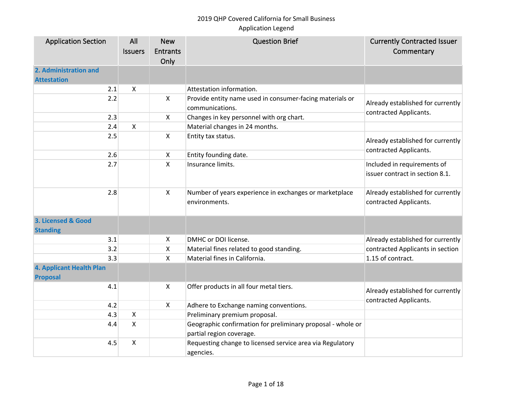| <b>Application Section</b>      | All            | <b>New</b>      | <b>Question Brief</b>                                                       | <b>Currently Contracted Issuer</b> |
|---------------------------------|----------------|-----------------|-----------------------------------------------------------------------------|------------------------------------|
|                                 | <b>Issuers</b> | <b>Entrants</b> |                                                                             | Commentary                         |
|                                 |                | Only            |                                                                             |                                    |
| 2. Administration and           |                |                 |                                                                             |                                    |
| <b>Attestation</b>              |                |                 |                                                                             |                                    |
| 2.1                             | X              |                 | Attestation information.                                                    |                                    |
| 2.2                             |                | $\mathsf{X}$    | Provide entity name used in consumer-facing materials or<br>communications. | Already established for currently  |
| 2.3                             |                | X               | Changes in key personnel with org chart.                                    | contracted Applicants.             |
| 2.4                             | $\mathsf{X}$   |                 | Material changes in 24 months.                                              |                                    |
| 2.5                             |                | X               | Entity tax status.                                                          |                                    |
|                                 |                |                 |                                                                             | Already established for currently  |
| 2.6                             |                | X               | Entity founding date.                                                       | contracted Applicants.             |
| 2.7                             |                | X               | Insurance limits.                                                           | Included in requirements of        |
|                                 |                |                 |                                                                             | issuer contract in section 8.1.    |
|                                 |                |                 |                                                                             |                                    |
| 2.8                             |                | $\mathsf{X}$    | Number of years experience in exchanges or marketplace                      | Already established for currently  |
|                                 |                |                 | environments.                                                               | contracted Applicants.             |
|                                 |                |                 |                                                                             |                                    |
| 3. Licensed & Good              |                |                 |                                                                             |                                    |
| <b>Standing</b>                 |                |                 |                                                                             |                                    |
| 3.1                             |                | X               | DMHC or DOI license.                                                        | Already established for currently  |
| 3.2                             |                | X               | Material fines related to good standing.                                    | contracted Applicants in section   |
| 3.3                             |                | X               | Material fines in California.                                               | 1.15 of contract.                  |
| <b>4. Applicant Health Plan</b> |                |                 |                                                                             |                                    |
| <b>Proposal</b>                 |                |                 |                                                                             |                                    |
| 4.1                             |                | X               | Offer products in all four metal tiers.                                     | Already established for currently  |
|                                 |                |                 |                                                                             | contracted Applicants.             |
| 4.2                             |                | X               | Adhere to Exchange naming conventions.                                      |                                    |
| 4.3                             | $\mathsf{X}$   |                 | Preliminary premium proposal.                                               |                                    |
| 4.4                             | $\mathsf{X}$   |                 | Geographic confirmation for preliminary proposal - whole or                 |                                    |
|                                 |                |                 | partial region coverage.                                                    |                                    |
| 4.5                             | $\pmb{\times}$ |                 | Requesting change to licensed service area via Regulatory                   |                                    |
|                                 |                |                 | agencies.                                                                   |                                    |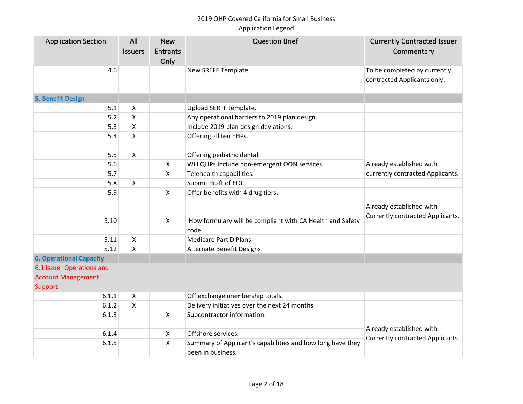| <b>Application Section</b>           | All<br><b>Issuers</b> | <b>New</b><br><b>Entrants</b><br>Only | <b>Question Brief</b>                                                           | <b>Currently Contracted Issuer</b><br>Commentary             |
|--------------------------------------|-----------------------|---------------------------------------|---------------------------------------------------------------------------------|--------------------------------------------------------------|
| 4.6                                  |                       |                                       | New SREFF Template                                                              | To be completed by currently<br>contracted Applicants only.  |
| 5. Benefit Design                    |                       |                                       |                                                                                 |                                                              |
| 5.1                                  | X                     |                                       | Upload SERFF template.                                                          |                                                              |
| 5.2                                  | X                     |                                       | Any operational barriers to 2019 plan design.                                   |                                                              |
| 5.3                                  | X                     |                                       | Include 2019 plan design deviations.                                            |                                                              |
| 5.4                                  | X                     |                                       | Offering all ten EHPs.                                                          |                                                              |
| 5.5                                  | Χ                     |                                       | Offering pediatric dental.                                                      |                                                              |
| 5.6                                  |                       | $\pmb{\times}$                        | Will QHPs include non-emergent OON services.                                    | Already established with                                     |
| 5.7                                  |                       | $\pmb{\times}$                        | Telehealth capabilities.                                                        | currently contracted Applicants.                             |
| 5.8                                  | X                     |                                       | Submit draft of EOC.                                                            |                                                              |
| 5.9                                  |                       | $\pmb{\times}$                        | Offer benefits with 4 drug tiers.                                               | Already established with<br>Currently contracted Applicants. |
| 5.10                                 |                       | $\mathsf{X}$                          | How formulary will be compliant with CA Health and Safety<br>code.              |                                                              |
| 5.11                                 | Χ                     |                                       | <b>Medicare Part D Plans</b>                                                    |                                                              |
| 5.12                                 | X                     |                                       | Alternate Benefit Designs                                                       |                                                              |
| <b>6. Operational Capacity</b>       |                       |                                       |                                                                                 |                                                              |
| 6.1 Issuer Operations and            |                       |                                       |                                                                                 |                                                              |
| <b>Account Management</b><br>Support |                       |                                       |                                                                                 |                                                              |
| 6.1.1                                | X                     |                                       | Off exchange membership totals.                                                 |                                                              |
| 6.1.2                                | X                     |                                       | Delivery initiatives over the next 24 months.                                   |                                                              |
| 6.1.3                                |                       | $\mathsf{X}$                          | Subcontractor information.                                                      |                                                              |
| 6.1.4                                |                       | $\boldsymbol{\mathsf{X}}$             | Offshore services.                                                              | Already established with                                     |
| 6.1.5                                |                       | X                                     | Summary of Applicant's capabilities and how long have they<br>been in business. | Currently contracted Applicants.                             |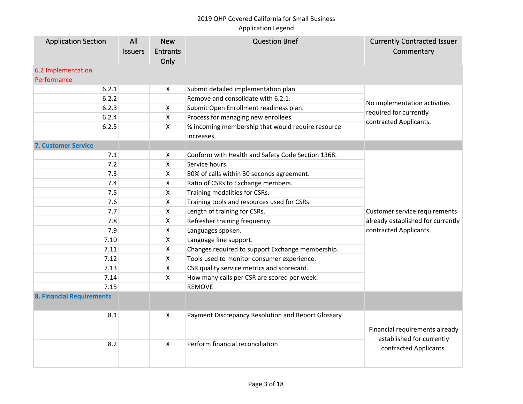| <b>Application Section</b><br>6.2 Implementation | All<br><b>Issuers</b> | <b>New</b><br><b>Entrants</b><br>Only | <b>Question Brief</b>                                           | <b>Currently Contracted Issuer</b><br>Commentary            |
|--------------------------------------------------|-----------------------|---------------------------------------|-----------------------------------------------------------------|-------------------------------------------------------------|
| Performance                                      |                       |                                       |                                                                 |                                                             |
| 6.2.1                                            |                       | $\boldsymbol{\mathsf{X}}$             | Submit detailed implementation plan.                            |                                                             |
| 6.2.2                                            |                       |                                       | Remove and consolidate with 6.2.1.                              |                                                             |
| 6.2.3                                            |                       | $\boldsymbol{\mathsf{X}}$             | Submit Open Enrollment readiness plan.                          | No implementation activities<br>required for currently      |
| 6.2.4                                            |                       | $\boldsymbol{\mathsf{X}}$             | Process for managing new enrollees.                             | contracted Applicants.                                      |
| 6.2.5                                            |                       | $\boldsymbol{\mathsf{X}}$             | % incoming membership that would require resource<br>increases. |                                                             |
| <b>7. Customer Service</b>                       |                       |                                       |                                                                 |                                                             |
| 7.1                                              |                       | $\boldsymbol{\mathsf{X}}$             | Conform with Health and Safety Code Section 1368.               |                                                             |
| 7.2                                              |                       | $\pmb{\times}$                        | Service hours.                                                  |                                                             |
| 7.3                                              |                       | $\boldsymbol{\mathsf{X}}$             | 80% of calls within 30 seconds agreement.                       |                                                             |
| 7.4                                              |                       | X                                     | Ratio of CSRs to Exchange members.                              |                                                             |
| 7.5                                              |                       | X                                     | Training modalities for CSRs.                                   |                                                             |
| 7.6                                              |                       | X                                     | Training tools and resources used for CSRs.                     |                                                             |
| 7.7                                              |                       | $\pmb{\times}$                        | Length of training for CSRs.                                    | Customer service requirements                               |
| 7.8                                              |                       | $\pmb{\times}$                        | Refresher training frequency.                                   | already established for currently                           |
| 7.9                                              |                       | $\boldsymbol{\mathsf{X}}$             | Languages spoken.                                               | contracted Applicants.                                      |
| 7.10                                             |                       | $\boldsymbol{\mathsf{X}}$             | Language line support.                                          |                                                             |
| 7.11                                             |                       | $\boldsymbol{\mathsf{X}}$             | Changes required to support Exchange membership.                |                                                             |
| 7.12                                             |                       | $\boldsymbol{\mathsf{X}}$             | Tools used to monitor consumer experience.                      |                                                             |
| 7.13                                             |                       | X                                     | CSR quality service metrics and scorecard.                      |                                                             |
| 7.14                                             |                       | X                                     | How many calls per CSR are scored per week.                     |                                                             |
| 7.15                                             |                       |                                       | <b>REMOVE</b>                                                   |                                                             |
| <b>8. Financial Requirements</b>                 |                       |                                       |                                                                 |                                                             |
| 8.1                                              |                       | $\boldsymbol{\mathsf{X}}$             | Payment Discrepancy Resolution and Report Glossary              | Financial requirements already<br>established for currently |
| 8.2                                              |                       | $\mathsf{X}$                          | Perform financial reconciliation                                | contracted Applicants.                                      |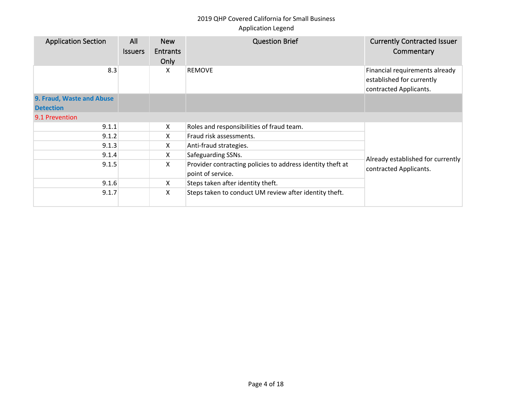| <b>Application Section</b> | All<br><b>Issuers</b> | <b>New</b><br><b>Entrants</b><br>Only | <b>Question Brief</b>                                                           | <b>Currently Contracted Issuer</b><br>Commentary                                      |
|----------------------------|-----------------------|---------------------------------------|---------------------------------------------------------------------------------|---------------------------------------------------------------------------------------|
| 8.3                        |                       | X                                     | <b>REMOVE</b>                                                                   | Financial requirements already<br>established for currently<br>contracted Applicants. |
| 9. Fraud, Waste and Abuse  |                       |                                       |                                                                                 |                                                                                       |
| <b>Detection</b>           |                       |                                       |                                                                                 |                                                                                       |
| 9.1 Prevention             |                       |                                       |                                                                                 |                                                                                       |
| 9.1.1                      |                       | X                                     | Roles and responsibilities of fraud team.                                       |                                                                                       |
| 9.1.2                      |                       | X                                     | Fraud risk assessments.                                                         |                                                                                       |
| 9.1.3                      |                       | X                                     | Anti-fraud strategies.                                                          |                                                                                       |
| 9.1.4                      |                       | X.                                    | Safeguarding SSNs.                                                              | Already established for currently                                                     |
| 9.1.5                      |                       | X                                     | Provider contracting policies to address identity theft at<br>point of service. | contracted Applicants.                                                                |
| 9.1.6                      |                       | X.                                    | Steps taken after identity theft.                                               |                                                                                       |
| 9.1.7                      |                       | X                                     | Steps taken to conduct UM review after identity theft.                          |                                                                                       |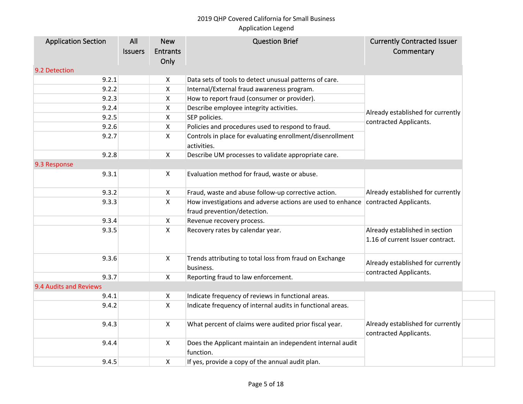# 2019 QHP Covered California for Small Business

### Application Legend

| <b>Application Section</b> | All            | <b>New</b>   | <b>Question Brief</b>                                                    | <b>Currently Contracted Issuer</b>                                 |
|----------------------------|----------------|--------------|--------------------------------------------------------------------------|--------------------------------------------------------------------|
|                            | <b>Issuers</b> | Entrants     |                                                                          | Commentary                                                         |
|                            |                | Only         |                                                                          |                                                                    |
| 9.2 Detection              |                |              |                                                                          |                                                                    |
| 9.2.1                      |                | X            | Data sets of tools to detect unusual patterns of care.                   |                                                                    |
| 9.2.2                      |                | X            | Internal/External fraud awareness program.                               |                                                                    |
| 9.2.3                      |                | X.           | How to report fraud (consumer or provider).                              |                                                                    |
| 9.2.4                      |                | X            | Describe employee integrity activities.                                  | Already established for currently                                  |
| 9.2.5                      |                | X            | SEP policies.                                                            | contracted Applicants.                                             |
| 9.2.6                      |                | X            | Policies and procedures used to respond to fraud.                        |                                                                    |
| 9.2.7                      |                | X            | Controls in place for evaluating enrollment/disenrollment<br>activities. |                                                                    |
| 9.2.8                      |                | X.           | Describe UM processes to validate appropriate care.                      |                                                                    |
| 9.3 Response               |                |              |                                                                          |                                                                    |
| 9.3.1                      |                | X            | Evaluation method for fraud, waste or abuse.                             |                                                                    |
| 9.3.2                      |                | X            | Fraud, waste and abuse follow-up corrective action.                      | Already established for currently<br>contracted Applicants.        |
| 9.3.3                      |                | X            | How investigations and adverse actions are used to enhance               |                                                                    |
|                            |                |              | fraud prevention/detection.                                              |                                                                    |
| 9.3.4                      |                | X.           | Revenue recovery process.                                                |                                                                    |
| 9.3.5                      |                | X            | Recovery rates by calendar year.                                         | Already established in section<br>1.16 of current Issuer contract. |
| 9.3.6                      |                | X            | Trends attributing to total loss from fraud on Exchange                  |                                                                    |
|                            |                |              | business.                                                                | Already established for currently                                  |
| 9.3.7                      |                | X            | Reporting fraud to law enforcement.                                      | contracted Applicants.                                             |
| 9.4 Audits and Reviews     |                |              |                                                                          |                                                                    |
| 9.4.1                      |                | X            | Indicate frequency of reviews in functional areas.                       |                                                                    |
| 9.4.2                      |                | X.           | Indicate frequency of internal audits in functional areas.               |                                                                    |
| 9.4.3                      |                | $\mathsf{X}$ | What percent of claims were audited prior fiscal year.                   | Already established for currently<br>contracted Applicants.        |
| 9.4.4                      |                | X            | Does the Applicant maintain an independent internal audit<br>function.   |                                                                    |
| 9.4.5                      |                | X            | If yes, provide a copy of the annual audit plan.                         |                                                                    |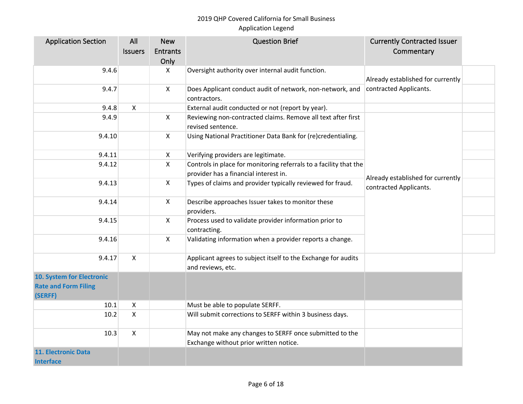| <b>Application Section</b>  | All            | <b>New</b>         | <b>Question Brief</b>                                             | <b>Currently Contracted Issuer</b>                          |  |
|-----------------------------|----------------|--------------------|-------------------------------------------------------------------|-------------------------------------------------------------|--|
|                             | <b>Issuers</b> | <b>Entrants</b>    |                                                                   | Commentary                                                  |  |
|                             |                | Only               |                                                                   |                                                             |  |
| 9.4.6                       |                | X                  | Oversight authority over internal audit function.                 |                                                             |  |
|                             |                |                    |                                                                   | Already established for currently                           |  |
| 9.4.7                       |                | $\pmb{\mathsf{X}}$ | Does Applicant conduct audit of network, non-network, and         | contracted Applicants.                                      |  |
|                             |                |                    | contractors.                                                      |                                                             |  |
| 9.4.8                       | $\mathsf{X}$   |                    | External audit conducted or not (report by year).                 |                                                             |  |
| 9.4.9                       |                | X                  | Reviewing non-contracted claims. Remove all text after first      |                                                             |  |
|                             |                |                    | revised sentence.                                                 |                                                             |  |
| 9.4.10                      |                | X                  | Using National Practitioner Data Bank for (re)credentialing.      |                                                             |  |
|                             |                |                    |                                                                   |                                                             |  |
| 9.4.11                      |                | X                  | Verifying providers are legitimate.                               |                                                             |  |
| 9.4.12                      |                | X                  | Controls in place for monitoring referrals to a facility that the |                                                             |  |
|                             |                |                    | provider has a financial interest in.                             | Already established for currently<br>contracted Applicants. |  |
| 9.4.13                      |                | $\mathsf{X}$       | Types of claims and provider typically reviewed for fraud.        |                                                             |  |
|                             |                |                    |                                                                   |                                                             |  |
| 9.4.14                      |                | X                  | Describe approaches Issuer takes to monitor these                 |                                                             |  |
|                             |                |                    | providers.                                                        |                                                             |  |
| 9.4.15                      |                | X                  | Process used to validate provider information prior to            |                                                             |  |
|                             |                |                    | contracting.                                                      |                                                             |  |
| 9.4.16                      |                | X                  | Validating information when a provider reports a change.          |                                                             |  |
|                             |                |                    |                                                                   |                                                             |  |
| 9.4.17                      | $\mathsf{X}$   |                    | Applicant agrees to subject itself to the Exchange for audits     |                                                             |  |
|                             |                |                    | and reviews, etc.                                                 |                                                             |  |
| 10. System for Electronic   |                |                    |                                                                   |                                                             |  |
| <b>Rate and Form Filing</b> |                |                    |                                                                   |                                                             |  |
| (SERFF)                     |                |                    |                                                                   |                                                             |  |
| 10.1                        | X              |                    | Must be able to populate SERFF.                                   |                                                             |  |
| 10.2                        | $\mathsf{X}$   |                    | Will submit corrections to SERFF within 3 business days.          |                                                             |  |
|                             |                |                    |                                                                   |                                                             |  |
| 10.3                        | $\mathsf{X}$   |                    | May not make any changes to SERFF once submitted to the           |                                                             |  |
|                             |                |                    | Exchange without prior written notice.                            |                                                             |  |
| <b>11. Electronic Data</b>  |                |                    |                                                                   |                                                             |  |
| <b>Interface</b>            |                |                    |                                                                   |                                                             |  |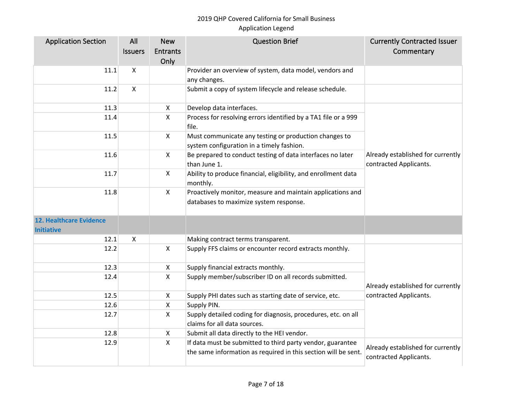| <b>Application Section</b>                          | All            | <b>New</b>                | <b>Question Brief</b>                                                                                | <b>Currently Contracted Issuer</b>                          |
|-----------------------------------------------------|----------------|---------------------------|------------------------------------------------------------------------------------------------------|-------------------------------------------------------------|
|                                                     | <b>Issuers</b> | <b>Entrants</b>           |                                                                                                      | Commentary                                                  |
|                                                     |                | Only                      |                                                                                                      |                                                             |
| 11.1                                                | X              |                           | Provider an overview of system, data model, vendors and                                              |                                                             |
|                                                     |                |                           | any changes.                                                                                         |                                                             |
| 11.2                                                | X              |                           | Submit a copy of system lifecycle and release schedule.                                              |                                                             |
| 11.3                                                |                | $\boldsymbol{\mathsf{X}}$ | Develop data interfaces.                                                                             |                                                             |
| 11.4                                                |                | $\boldsymbol{\mathsf{X}}$ | Process for resolving errors identified by a TA1 file or a 999<br>file.                              |                                                             |
| 11.5                                                |                | $\mathsf{X}$              | Must communicate any testing or production changes to<br>system configuration in a timely fashion.   |                                                             |
| 11.6                                                |                | $\boldsymbol{\mathsf{X}}$ | Be prepared to conduct testing of data interfaces no later<br>than June 1.                           | Already established for currently<br>contracted Applicants. |
| 11.7                                                |                | $\mathsf{X}$              | Ability to produce financial, eligibility, and enrollment data<br>monthly.                           |                                                             |
| 11.8                                                |                | $\mathsf{X}$              | Proactively monitor, measure and maintain applications and<br>databases to maximize system response. |                                                             |
| <b>12. Healthcare Evidence</b><br><b>Initiative</b> |                |                           |                                                                                                      |                                                             |
| 12.1                                                | X              |                           | Making contract terms transparent.                                                                   |                                                             |
| 12.2                                                |                | $\boldsymbol{\mathsf{X}}$ | Supply FFS claims or encounter record extracts monthly.                                              |                                                             |
| 12.3                                                |                | $\boldsymbol{\mathsf{X}}$ | Supply financial extracts monthly.                                                                   |                                                             |
| 12.4                                                |                | $\pmb{\times}$            | Supply member/subscriber ID on all records submitted.                                                | Already established for currently                           |
| 12.5                                                |                | $\boldsymbol{\mathsf{X}}$ | Supply PHI dates such as starting date of service, etc.                                              | contracted Applicants.                                      |
| 12.6                                                |                | $\pmb{\times}$            | Supply PIN.                                                                                          |                                                             |
| 12.7                                                |                | $\pmb{\mathsf{X}}$        | Supply detailed coding for diagnosis, procedures, etc. on all<br>claims for all data sources.        |                                                             |
| 12.8                                                |                | $\boldsymbol{\mathsf{X}}$ | Submit all data directly to the HEI vendor.                                                          |                                                             |
| 12.9                                                |                | $\boldsymbol{\mathsf{X}}$ | If data must be submitted to third party vendor, guarantee                                           |                                                             |
|                                                     |                |                           | the same information as required in this section will be sent.                                       | Already established for currently<br>contracted Applicants. |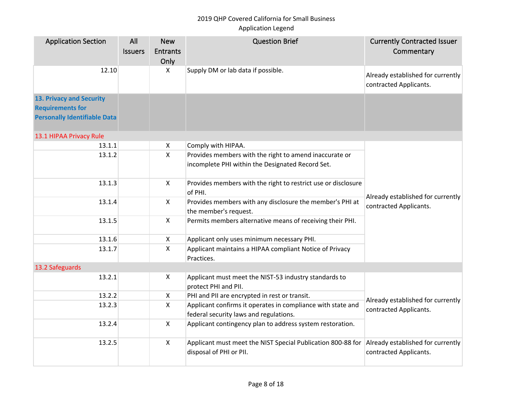| <b>Application Section</b>                                                                        | All<br><b>Issuers</b> | <b>New</b><br><b>Entrants</b> | <b>Question Brief</b>                                                                                      | <b>Currently Contracted Issuer</b><br>Commentary            |
|---------------------------------------------------------------------------------------------------|-----------------------|-------------------------------|------------------------------------------------------------------------------------------------------------|-------------------------------------------------------------|
|                                                                                                   |                       | Only                          |                                                                                                            |                                                             |
| 12.10                                                                                             |                       | X                             | Supply DM or lab data if possible.                                                                         | Already established for currently<br>contracted Applicants. |
| <b>13. Privacy and Security</b><br><b>Requirements for</b><br><b>Personally Identifiable Data</b> |                       |                               |                                                                                                            |                                                             |
| 13.1 HIPAA Privacy Rule                                                                           |                       |                               |                                                                                                            |                                                             |
| 13.1.1                                                                                            |                       | $\pmb{\times}$                | Comply with HIPAA.                                                                                         |                                                             |
| 13.1.2                                                                                            |                       | $\mathsf{X}$                  | Provides members with the right to amend inaccurate or<br>incomplete PHI within the Designated Record Set. |                                                             |
| 13.1.3                                                                                            |                       | $\mathsf{X}$                  | Provides members with the right to restrict use or disclosure<br>of PHI.                                   | Already established for currently                           |
| 13.1.4                                                                                            |                       | $\mathsf{X}$                  | Provides members with any disclosure the member's PHI at<br>the member's request.                          | contracted Applicants.                                      |
| 13.1.5                                                                                            |                       | $\mathsf{X}$                  | Permits members alternative means of receiving their PHI.                                                  |                                                             |
| 13.1.6                                                                                            |                       | $\mathsf{X}$                  | Applicant only uses minimum necessary PHI.                                                                 |                                                             |
| 13.1.7                                                                                            |                       | $\mathsf{X}$                  | Applicant maintains a HIPAA compliant Notice of Privacy<br>Practices.                                      |                                                             |
| 13.2 Safeguards                                                                                   |                       |                               |                                                                                                            |                                                             |
| 13.2.1                                                                                            |                       | $\mathsf{X}$                  | Applicant must meet the NIST-53 industry standards to<br>protect PHI and PII.                              |                                                             |
| 13.2.2                                                                                            |                       | $\mathsf{X}$                  | PHI and PII are encrypted in rest or transit.                                                              | Already established for currently                           |
| 13.2.3                                                                                            |                       | $\mathsf{X}$                  | Applicant confirms it operates in compliance with state and<br>federal security laws and regulations.      | contracted Applicants.                                      |
| 13.2.4                                                                                            |                       | $\mathsf{X}$                  | Applicant contingency plan to address system restoration.                                                  |                                                             |
| 13.2.5                                                                                            |                       | $\mathsf{X}$                  | Applicant must meet the NIST Special Publication 800-88 for<br>disposal of PHI or PII.                     | Already established for currently<br>contracted Applicants. |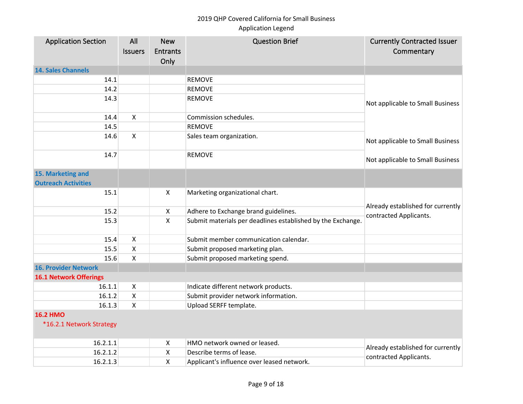| <b>Application Section</b>    | All                | <b>New</b>                | <b>Question Brief</b>                                       | <b>Currently Contracted Issuer</b> |
|-------------------------------|--------------------|---------------------------|-------------------------------------------------------------|------------------------------------|
|                               | <b>Issuers</b>     | <b>Entrants</b>           |                                                             | Commentary                         |
|                               |                    | Only                      |                                                             |                                    |
| <b>14. Sales Channels</b>     |                    |                           |                                                             |                                    |
| 14.1                          |                    |                           | <b>REMOVE</b>                                               |                                    |
| 14.2                          |                    |                           | <b>REMOVE</b>                                               |                                    |
| 14.3                          |                    |                           | REMOVE                                                      | Not applicable to Small Business   |
|                               |                    |                           |                                                             |                                    |
| 14.4                          | X                  |                           | Commission schedules.                                       |                                    |
| 14.5                          |                    |                           | <b>REMOVE</b>                                               |                                    |
| 14.6                          | X                  |                           | Sales team organization.                                    | Not applicable to Small Business   |
| 14.7                          |                    |                           | REMOVE                                                      | Not applicable to Small Business   |
| 15. Marketing and             |                    |                           |                                                             |                                    |
| <b>Outreach Activities</b>    |                    |                           |                                                             |                                    |
| 15.1                          |                    | $\mathsf{X}$              | Marketing organizational chart.                             |                                    |
| 15.2                          |                    | $\boldsymbol{\mathsf{X}}$ | Adhere to Exchange brand guidelines.                        | Already established for currently  |
| 15.3                          |                    | $\boldsymbol{\mathsf{X}}$ | Submit materials per deadlines established by the Exchange. | contracted Applicants.             |
|                               |                    |                           |                                                             |                                    |
| 15.4                          | X                  |                           | Submit member communication calendar.                       |                                    |
| 15.5                          | Χ                  |                           | Submit proposed marketing plan.                             |                                    |
| 15.6                          | Χ                  |                           | Submit proposed marketing spend.                            |                                    |
| <b>16. Provider Network</b>   |                    |                           |                                                             |                                    |
| <b>16.1 Network Offerings</b> |                    |                           |                                                             |                                    |
| 16.1.1                        | $\pmb{\mathsf{X}}$ |                           | Indicate different network products.                        |                                    |
| 16.1.2                        | Χ                  |                           | Submit provider network information.                        |                                    |
| 16.1.3                        | X                  |                           | Upload SERFF template.                                      |                                    |
| <b>16.2 HMO</b>               |                    |                           |                                                             |                                    |
| *16.2.1 Network Strategy      |                    |                           |                                                             |                                    |
| 16.2.1.1                      |                    | $\boldsymbol{\mathsf{X}}$ | HMO network owned or leased.                                |                                    |
| 16.2.1.2                      |                    | X                         | Describe terms of lease.                                    | Already established for currently  |
| 16.2.1.3                      |                    | X                         | Applicant's influence over leased network.                  | contracted Applicants.             |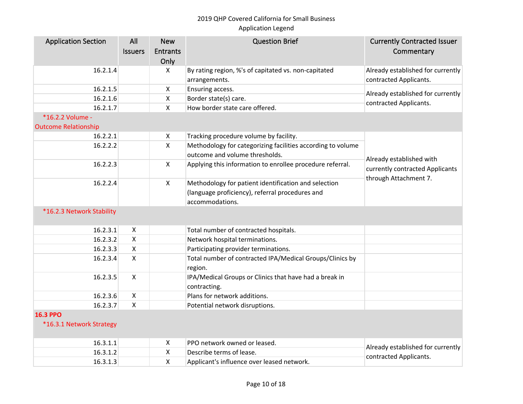| <b>Application Section</b>                  | All<br><b>Issuers</b>     | <b>New</b><br><b>Entrants</b><br>Only | <b>Question Brief</b>                                                                                                      | <b>Currently Contracted Issuer</b><br>Commentary                                     |
|---------------------------------------------|---------------------------|---------------------------------------|----------------------------------------------------------------------------------------------------------------------------|--------------------------------------------------------------------------------------|
| 16.2.1.4                                    |                           | $\mathsf{X}$                          | By rating region, %'s of capitated vs. non-capitated<br>arrangements.                                                      | Already established for currently<br>contracted Applicants.                          |
| 16.2.1.5                                    |                           | $\boldsymbol{\mathsf{X}}$             | Ensuring access.                                                                                                           | Already established for currently                                                    |
| 16.2.1.6                                    |                           | $\mathsf{X}$                          | Border state(s) care.                                                                                                      | contracted Applicants.                                                               |
| 16.2.1.7                                    |                           | $\mathsf{X}$                          | How border state care offered.                                                                                             |                                                                                      |
| *16.2.2 Volume -                            |                           |                                       |                                                                                                                            |                                                                                      |
| <b>Outcome Relationship</b>                 |                           |                                       |                                                                                                                            |                                                                                      |
| 16.2.2.1                                    |                           | X                                     | Tracking procedure volume by facility.                                                                                     |                                                                                      |
| 16.2.2.2                                    |                           | $\mathsf{X}$                          | Methodology for categorizing facilities according to volume<br>outcome and volume thresholds.                              |                                                                                      |
| 16.2.2.3                                    |                           | $\mathsf{X}$                          | Applying this information to enrollee procedure referral.                                                                  | Already established with<br>currently contracted Applicants<br>through Attachment 7. |
| 16.2.2.4                                    |                           | $\mathsf{X}$                          | Methodology for patient identification and selection<br>(language proficiency), referral procedures and<br>accommodations. |                                                                                      |
| *16.2.3 Network Stability                   |                           |                                       |                                                                                                                            |                                                                                      |
| 16.2.3.1                                    | $\boldsymbol{\mathsf{X}}$ |                                       | Total number of contracted hospitals.                                                                                      |                                                                                      |
| 16.2.3.2                                    | $\pmb{\mathsf{X}}$        |                                       | Network hospital terminations.                                                                                             |                                                                                      |
| 16.2.3.3                                    | $\boldsymbol{\mathsf{X}}$ |                                       | Participating provider terminations.                                                                                       |                                                                                      |
| 16.2.3.4                                    | $\boldsymbol{\mathsf{X}}$ |                                       | Total number of contracted IPA/Medical Groups/Clinics by<br>region.                                                        |                                                                                      |
| 16.2.3.5                                    | $\mathsf{X}$              |                                       | IPA/Medical Groups or Clinics that have had a break in<br>contracting.                                                     |                                                                                      |
| 16.2.3.6                                    | $\boldsymbol{\mathsf{X}}$ |                                       | Plans for network additions.                                                                                               |                                                                                      |
| 16.2.3.7                                    | X                         |                                       | Potential network disruptions.                                                                                             |                                                                                      |
| <b>16.3 PPO</b><br>*16.3.1 Network Strategy |                           |                                       |                                                                                                                            |                                                                                      |
| 16.3.1.1                                    |                           | $\boldsymbol{\mathsf{X}}$             | PPO network owned or leased.                                                                                               | Already established for currently                                                    |
| 16.3.1.2                                    |                           | X                                     | Describe terms of lease.                                                                                                   | contracted Applicants.                                                               |
| 16.3.1.3                                    |                           | $\pmb{\mathsf{X}}$                    | Applicant's influence over leased network.                                                                                 |                                                                                      |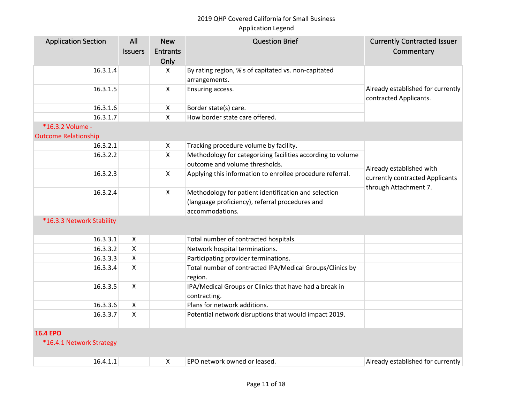| <b>Application Section</b>  | All                       | <b>New</b>                | <b>Question Brief</b>                                                  | <b>Currently Contracted Issuer</b>                          |
|-----------------------------|---------------------------|---------------------------|------------------------------------------------------------------------|-------------------------------------------------------------|
|                             | <b>Issuers</b>            | <b>Entrants</b>           |                                                                        | Commentary                                                  |
|                             |                           | Only                      |                                                                        |                                                             |
| 16.3.1.4                    |                           | X                         | By rating region, %'s of capitated vs. non-capitated                   |                                                             |
|                             |                           |                           | arrangements.                                                          |                                                             |
| 16.3.1.5                    |                           | $\mathsf{X}$              | Ensuring access.                                                       | Already established for currently<br>contracted Applicants. |
| 16.3.1.6                    |                           | $\pmb{\times}$            | Border state(s) care.                                                  |                                                             |
| 16.3.1.7                    |                           | $\pmb{\times}$            | How border state care offered.                                         |                                                             |
| *16.3.2 Volume -            |                           |                           |                                                                        |                                                             |
| <b>Outcome Relationship</b> |                           |                           |                                                                        |                                                             |
| 16.3.2.1                    |                           | $\boldsymbol{\mathsf{X}}$ | Tracking procedure volume by facility.                                 |                                                             |
| 16.3.2.2                    |                           | $\mathsf{X}$              | Methodology for categorizing facilities according to volume            |                                                             |
|                             |                           |                           | outcome and volume thresholds.                                         |                                                             |
| 16.3.2.3                    |                           | $\mathsf{X}$              | Applying this information to enrollee procedure referral.              | Already established with<br>currently contracted Applicants |
| 16.3.2.4                    |                           | $\mathsf{X}$              | Methodology for patient identification and selection                   | through Attachment 7.                                       |
|                             |                           |                           | (language proficiency), referral procedures and                        |                                                             |
|                             |                           |                           | accommodations.                                                        |                                                             |
| *16.3.3 Network Stability   |                           |                           |                                                                        |                                                             |
|                             |                           |                           |                                                                        |                                                             |
| 16.3.3.1                    | $\mathsf{X}$              |                           | Total number of contracted hospitals.                                  |                                                             |
| 16.3.3.2                    | $\mathsf X$               |                           | Network hospital terminations.                                         |                                                             |
| 16.3.3.3                    | $\mathsf{X}$              |                           | Participating provider terminations.                                   |                                                             |
| 16.3.3.4                    | $\mathsf{X}$              |                           | Total number of contracted IPA/Medical Groups/Clinics by<br>region.    |                                                             |
| 16.3.3.5                    | $\mathsf{X}$              |                           | IPA/Medical Groups or Clinics that have had a break in<br>contracting. |                                                             |
| 16.3.3.6                    | $\boldsymbol{\mathsf{X}}$ |                           | Plans for network additions.                                           |                                                             |
| 16.3.3.7                    | $\mathsf{x}$              |                           | Potential network disruptions that would impact 2019.                  |                                                             |
| <b>16.4 EPO</b>             |                           |                           |                                                                        |                                                             |
| *16.4.1 Network Strategy    |                           |                           |                                                                        |                                                             |
| 16.4.1.1                    |                           | $\boldsymbol{\mathsf{X}}$ | EPO network owned or leased.                                           | Already established for currently                           |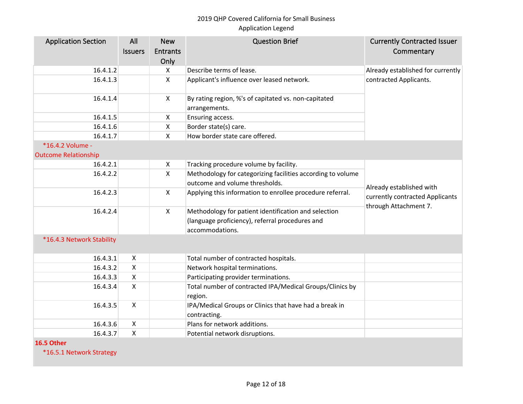| <b>Application Section</b>  | All            | <b>New</b>                | <b>Question Brief</b>                                                 | <b>Currently Contracted Issuer</b>                                                   |
|-----------------------------|----------------|---------------------------|-----------------------------------------------------------------------|--------------------------------------------------------------------------------------|
|                             | <b>Issuers</b> | <b>Entrants</b>           |                                                                       | Commentary                                                                           |
|                             |                | Only                      |                                                                       |                                                                                      |
| 16.4.1.2                    |                | $\mathsf{X}$              | Describe terms of lease.                                              | Already established for currently                                                    |
| 16.4.1.3                    |                | $\pmb{\times}$            | Applicant's influence over leased network.                            | contracted Applicants.                                                               |
| 16.4.1.4                    |                | $\mathsf{X}$              | By rating region, %'s of capitated vs. non-capitated<br>arrangements. |                                                                                      |
| 16.4.1.5                    |                | $\boldsymbol{\mathsf{X}}$ | Ensuring access.                                                      |                                                                                      |
| 16.4.1.6                    |                | $\pmb{\times}$            | Border state(s) care.                                                 |                                                                                      |
| 16.4.1.7                    |                | $\boldsymbol{\mathsf{X}}$ | How border state care offered.                                        |                                                                                      |
| *16.4.2 Volume -            |                |                           |                                                                       |                                                                                      |
| <b>Outcome Relationship</b> |                |                           |                                                                       |                                                                                      |
| 16.4.2.1                    |                | $\boldsymbol{\mathsf{X}}$ | Tracking procedure volume by facility.                                |                                                                                      |
| 16.4.2.2                    |                | $\mathsf{x}$              | Methodology for categorizing facilities according to volume           |                                                                                      |
|                             |                |                           | outcome and volume thresholds.                                        | Already established with<br>currently contracted Applicants<br>through Attachment 7. |
| 16.4.2.3                    |                | $\boldsymbol{\mathsf{X}}$ | Applying this information to enrollee procedure referral.             |                                                                                      |
| 16.4.2.4                    |                | $\mathsf{X}$              | Methodology for patient identification and selection                  |                                                                                      |
|                             |                |                           | (language proficiency), referral procedures and                       |                                                                                      |
|                             |                |                           | accommodations.                                                       |                                                                                      |
| *16.4.3 Network Stability   |                |                           |                                                                       |                                                                                      |
| 16.4.3.1                    | $\pmb{\times}$ |                           | Total number of contracted hospitals.                                 |                                                                                      |
| 16.4.3.2                    | X              |                           | Network hospital terminations.                                        |                                                                                      |
| 16.4.3.3                    | X              |                           | Participating provider terminations.                                  |                                                                                      |
| 16.4.3.4                    | X              |                           | Total number of contracted IPA/Medical Groups/Clinics by<br>region.   |                                                                                      |
| 16.4.3.5                    | $\mathsf{X}$   |                           | IPA/Medical Groups or Clinics that have had a break in                |                                                                                      |
|                             |                |                           | contracting.                                                          |                                                                                      |
| 16.4.3.6                    | $\mathsf{X}$   |                           | Plans for network additions.                                          |                                                                                      |
| 16.4.3.7                    | X              |                           | Potential network disruptions.                                        |                                                                                      |
| 16.5 Other                  |                |                           |                                                                       |                                                                                      |
| *16.5.1 Network Strategy    |                |                           |                                                                       |                                                                                      |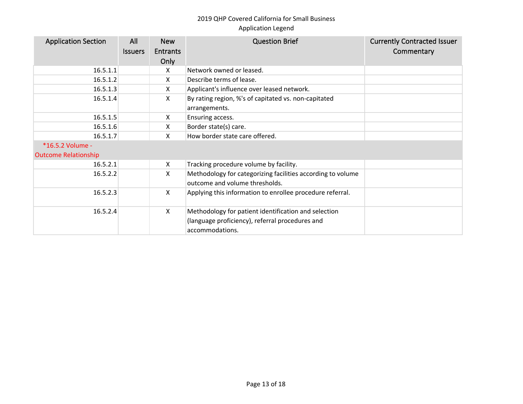| <b>Application Section</b>                      | All<br><b>Issuers</b> | <b>New</b><br><b>Entrants</b><br>Only | <b>Question Brief</b>                                                                                                      | <b>Currently Contracted Issuer</b><br>Commentary |
|-------------------------------------------------|-----------------------|---------------------------------------|----------------------------------------------------------------------------------------------------------------------------|--------------------------------------------------|
| 16.5.1.1                                        |                       | X                                     | Network owned or leased.                                                                                                   |                                                  |
| 16.5.1.2                                        |                       | X                                     | Describe terms of lease.                                                                                                   |                                                  |
| 16.5.1.3                                        |                       | X                                     | Applicant's influence over leased network.                                                                                 |                                                  |
| 16.5.1.4                                        |                       | X                                     | By rating region, %'s of capitated vs. non-capitated<br>arrangements.                                                      |                                                  |
| 16.5.1.5                                        |                       | X                                     | Ensuring access.                                                                                                           |                                                  |
| 16.5.1.6                                        |                       | X                                     | Border state(s) care.                                                                                                      |                                                  |
| 16.5.1.7                                        |                       | X                                     | How border state care offered.                                                                                             |                                                  |
| *16.5.2 Volume -<br><b>Outcome Relationship</b> |                       |                                       |                                                                                                                            |                                                  |
| 16.5.2.1                                        |                       | X                                     | Tracking procedure volume by facility.                                                                                     |                                                  |
| 16.5.2.2                                        |                       | X                                     | Methodology for categorizing facilities according to volume<br>outcome and volume thresholds.                              |                                                  |
| 16.5.2.3                                        |                       | X                                     | Applying this information to enrollee procedure referral.                                                                  |                                                  |
| 16.5.2.4                                        |                       | X                                     | Methodology for patient identification and selection<br>(language proficiency), referral procedures and<br>accommodations. |                                                  |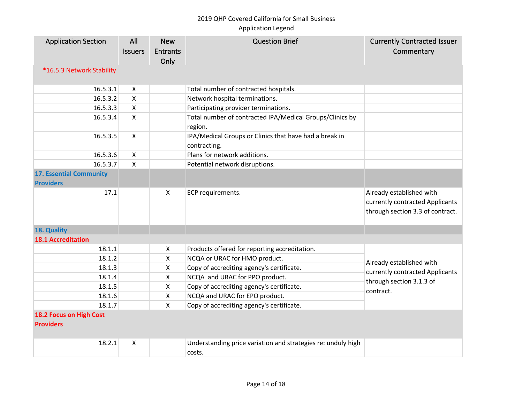| <b>Application Section</b><br>*16.5.3 Network Stability | All<br><b>Issuers</b> | <b>New</b><br><b>Entrants</b><br>Only | <b>Question Brief</b>                                                  | <b>Currently Contracted Issuer</b><br>Commentary                                                |
|---------------------------------------------------------|-----------------------|---------------------------------------|------------------------------------------------------------------------|-------------------------------------------------------------------------------------------------|
| 16.5.3.1                                                | X                     |                                       | Total number of contracted hospitals.                                  |                                                                                                 |
| 16.5.3.2                                                | $\mathsf{x}$          |                                       | Network hospital terminations.                                         |                                                                                                 |
| 16.5.3.3                                                | $\pmb{\times}$        |                                       | Participating provider terminations.                                   |                                                                                                 |
| 16.5.3.4                                                | $\mathsf{X}$          |                                       | Total number of contracted IPA/Medical Groups/Clinics by<br>region.    |                                                                                                 |
| 16.5.3.5                                                | $\pmb{\times}$        |                                       | IPA/Medical Groups or Clinics that have had a break in<br>contracting. |                                                                                                 |
| 16.5.3.6                                                | $\mathsf{X}$          |                                       | Plans for network additions.                                           |                                                                                                 |
| 16.5.3.7                                                | $\mathsf X$           |                                       | Potential network disruptions.                                         |                                                                                                 |
| <b>17. Essential Community</b><br><b>Providers</b>      |                       |                                       |                                                                        |                                                                                                 |
| 17.1                                                    |                       | $\mathsf{X}$                          | ECP requirements.                                                      | Already established with<br>currently contracted Applicants<br>through section 3.3 of contract. |
| 18. Quality                                             |                       |                                       |                                                                        |                                                                                                 |
| <b>18.1 Accreditation</b>                               |                       |                                       |                                                                        |                                                                                                 |
| 18.1.1                                                  |                       | X                                     | Products offered for reporting accreditation.                          |                                                                                                 |
| 18.1.2                                                  |                       | $\mathsf{x}$                          | NCQA or URAC for HMO product.                                          |                                                                                                 |
| 18.1.3                                                  |                       | $\pmb{\times}$                        | Copy of accrediting agency's certificate.                              | Already established with                                                                        |
| 18.1.4                                                  |                       | $\mathsf{x}$                          | NCQA and URAC for PPO product.                                         | currently contracted Applicants<br>through section 3.1.3 of<br>contract.                        |
| 18.1.5                                                  |                       | X                                     | Copy of accrediting agency's certificate.                              |                                                                                                 |
| 18.1.6                                                  |                       | X                                     | NCQA and URAC for EPO product.                                         |                                                                                                 |
| 18.1.7                                                  |                       | $\mathsf{X}$                          | Copy of accrediting agency's certificate.                              |                                                                                                 |
| 18.2 Focus on High Cost<br><b>Providers</b>             |                       |                                       |                                                                        |                                                                                                 |
| 18.2.1                                                  | X                     |                                       | Understanding price variation and strategies re: unduly high<br>costs. |                                                                                                 |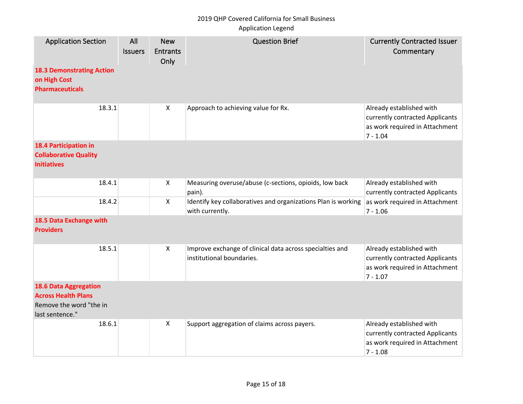## 2019 QHP Covered California for Small Business

## Application Legend

| <b>Application Section</b><br><b>18.3 Demonstrating Action</b><br>on High Cost<br><b>Pharmaceuticals</b> | All<br><b>Issuers</b> | <b>New</b><br><b>Entrants</b><br>Only | <b>Question Brief</b>                                                                 | <b>Currently Contracted Issuer</b><br>Commentary                                                            |
|----------------------------------------------------------------------------------------------------------|-----------------------|---------------------------------------|---------------------------------------------------------------------------------------|-------------------------------------------------------------------------------------------------------------|
| 18.3.1                                                                                                   |                       | $\boldsymbol{\mathsf{X}}$             | Approach to achieving value for Rx.                                                   | Already established with<br>currently contracted Applicants<br>as work required in Attachment<br>$7 - 1.04$ |
| 18.4 Participation in<br><b>Collaborative Quality</b><br><b>Initiatives</b>                              |                       |                                       |                                                                                       |                                                                                                             |
| 18.4.1                                                                                                   |                       | $\boldsymbol{X}$                      | Measuring overuse/abuse (c-sections, opioids, low back<br>pain).                      | Already established with<br>currently contracted Applicants                                                 |
| 18.4.2                                                                                                   |                       | $\pmb{\times}$                        | Identify key collaboratives and organizations Plan is working<br>with currently.      | as work required in Attachment<br>$7 - 1.06$                                                                |
| 18.5 Data Exchange with<br><b>Providers</b>                                                              |                       |                                       |                                                                                       |                                                                                                             |
| 18.5.1                                                                                                   |                       | $\mathsf{X}$                          | Improve exchange of clinical data across specialties and<br>institutional boundaries. | Already established with<br>currently contracted Applicants<br>as work required in Attachment<br>$7 - 1.07$ |
| <b>18.6 Data Aggregation</b><br><b>Across Health Plans</b><br>Remove the word "the in<br>last sentence." |                       |                                       |                                                                                       |                                                                                                             |
| 18.6.1                                                                                                   |                       | $\mathsf{X}$                          | Support aggregation of claims across payers.                                          | Already established with<br>currently contracted Applicants<br>as work required in Attachment<br>$7 - 1.08$ |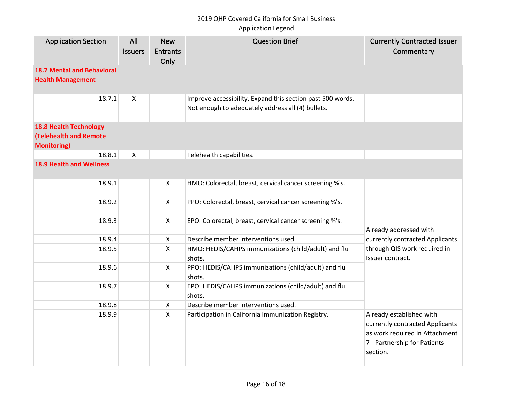## 2019 QHP Covered California for Small Business

#### Application Legend

| <b>Application Section</b>                                                           | All<br><b>Issuers</b>     | <b>New</b><br><b>Entrants</b><br>Only | <b>Question Brief</b>                                                                                           | <b>Currently Contracted Issuer</b><br>Commentary                                                                                          |
|--------------------------------------------------------------------------------------|---------------------------|---------------------------------------|-----------------------------------------------------------------------------------------------------------------|-------------------------------------------------------------------------------------------------------------------------------------------|
| <b>18.7 Mental and Behavioral</b><br><b>Health Management</b>                        |                           |                                       |                                                                                                                 |                                                                                                                                           |
| 18.7.1                                                                               | $\boldsymbol{\mathsf{X}}$ |                                       | Improve accessibility. Expand this section past 500 words.<br>Not enough to adequately address all (4) bullets. |                                                                                                                                           |
| <b>18.8 Health Technology</b><br><b>(Telehealth and Remote</b><br><b>Monitoring)</b> |                           |                                       |                                                                                                                 |                                                                                                                                           |
| 18.8.1                                                                               | $\boldsymbol{\mathsf{X}}$ |                                       | Telehealth capabilities.                                                                                        |                                                                                                                                           |
| <b>18.9 Health and Wellness</b>                                                      |                           |                                       |                                                                                                                 |                                                                                                                                           |
| 18.9.1                                                                               |                           | X                                     | HMO: Colorectal, breast, cervical cancer screening %'s.                                                         |                                                                                                                                           |
| 18.9.2                                                                               |                           | X                                     | PPO: Colorectal, breast, cervical cancer screening %'s.                                                         |                                                                                                                                           |
| 18.9.3                                                                               |                           | $\pmb{\times}$                        | EPO: Colorectal, breast, cervical cancer screening %'s.                                                         | Already addressed with                                                                                                                    |
| 18.9.4                                                                               |                           | $\pmb{\mathsf{X}}$                    | Describe member interventions used.                                                                             | currently contracted Applicants                                                                                                           |
| 18.9.5                                                                               |                           | $\mathsf{x}$                          | HMO: HEDIS/CAHPS immunizations (child/adult) and flu<br>shots.                                                  | through QIS work required in<br>Issuer contract.                                                                                          |
| 18.9.6                                                                               |                           | X                                     | PPO: HEDIS/CAHPS immunizations (child/adult) and flu<br>shots.                                                  |                                                                                                                                           |
| 18.9.7                                                                               |                           | $\pmb{\mathsf{X}}$                    | EPO: HEDIS/CAHPS immunizations (child/adult) and flu<br>shots.                                                  |                                                                                                                                           |
| 18.9.8                                                                               |                           | X                                     | Describe member interventions used.                                                                             |                                                                                                                                           |
| 18.9.9                                                                               |                           | $\pmb{\times}$                        | Participation in California Immunization Registry.                                                              | Already established with<br>currently contracted Applicants<br>as work required in Attachment<br>7 - Partnership for Patients<br>section. |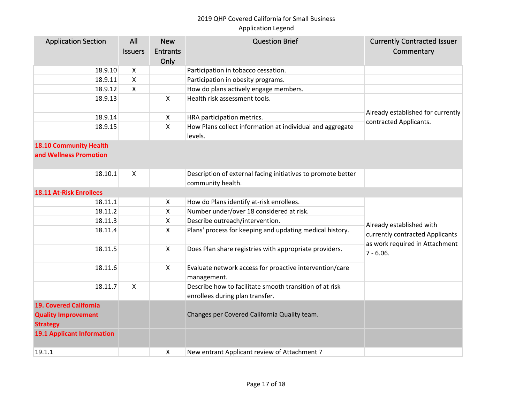| <b>Application Section</b>                                                     | All<br><b>Issuers</b> | <b>New</b><br><b>Entrants</b><br>Only | <b>Question Brief</b>                                                                      | <b>Currently Contracted Issuer</b><br>Commentary                                                              |
|--------------------------------------------------------------------------------|-----------------------|---------------------------------------|--------------------------------------------------------------------------------------------|---------------------------------------------------------------------------------------------------------------|
| 18.9.10                                                                        | $\pmb{\times}$        |                                       | Participation in tobacco cessation.                                                        |                                                                                                               |
| 18.9.11                                                                        | $\pmb{\mathsf{X}}$    |                                       | Participation in obesity programs.                                                         |                                                                                                               |
| 18.9.12                                                                        | $\mathsf{x}$          |                                       | How do plans actively engage members.                                                      |                                                                                                               |
| 18.9.13                                                                        |                       | $\mathsf{X}$                          | Health risk assessment tools.                                                              |                                                                                                               |
| 18.9.14                                                                        |                       | $\pmb{\mathsf{X}}$                    | HRA participation metrics.                                                                 | Already established for currently                                                                             |
| 18.9.15                                                                        |                       | $\mathsf{X}$                          | How Plans collect information at individual and aggregate<br>levels.                       | contracted Applicants.                                                                                        |
| <b>18.10 Community Health</b>                                                  |                       |                                       |                                                                                            |                                                                                                               |
| and Wellness Promotion                                                         |                       |                                       |                                                                                            |                                                                                                               |
| 18.10.1                                                                        | X                     |                                       | Description of external facing initiatives to promote better<br>community health.          |                                                                                                               |
| <b>18.11 At-Risk Enrollees</b>                                                 |                       |                                       |                                                                                            |                                                                                                               |
| 18.11.1                                                                        |                       | X                                     | How do Plans identify at-risk enrollees.                                                   |                                                                                                               |
| 18.11.2                                                                        |                       | $\pmb{\times}$                        | Number under/over 18 considered at risk.                                                   |                                                                                                               |
| 18.11.3                                                                        |                       | X                                     | Describe outreach/intervention.                                                            |                                                                                                               |
| 18.11.4                                                                        |                       | $\mathsf{X}$                          | Plans' process for keeping and updating medical history.                                   | Already established with<br>currently contracted Applicants<br>as work required in Attachment<br>$7 - 6.06$ . |
| 18.11.5                                                                        |                       | $\mathsf{X}$                          | Does Plan share registries with appropriate providers.                                     |                                                                                                               |
| 18.11.6                                                                        |                       | $\mathsf{X}$                          | Evaluate network access for proactive intervention/care<br>management.                     |                                                                                                               |
| 18.11.7                                                                        | X                     |                                       | Describe how to facilitate smooth transition of at risk<br>enrollees during plan transfer. |                                                                                                               |
| <b>19. Covered California</b><br><b>Quality Improvement</b><br><b>Strategy</b> |                       |                                       | Changes per Covered California Quality team.                                               |                                                                                                               |
| <b>19.1 Applicant Information</b>                                              |                       |                                       |                                                                                            |                                                                                                               |
| 19.1.1                                                                         |                       | $\boldsymbol{\mathsf{X}}$             | New entrant Applicant review of Attachment 7                                               |                                                                                                               |